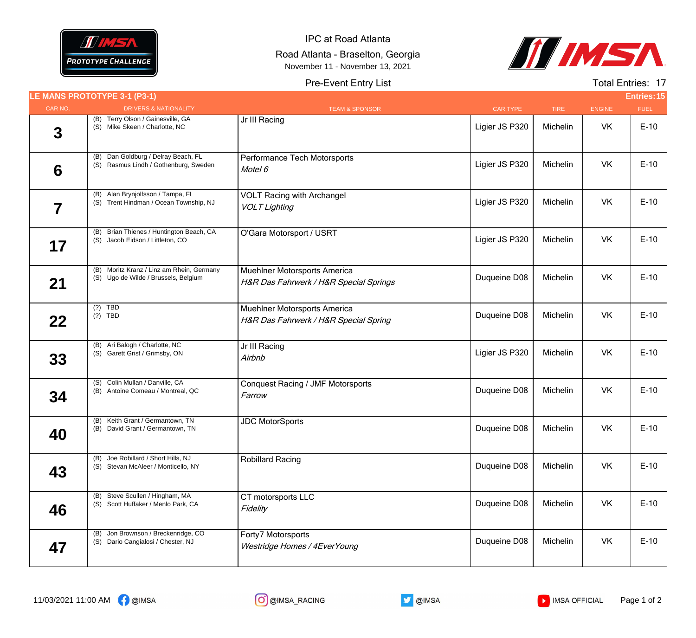

IPC at Road Atlanta Road Atlanta - Braselton, Georgia November 11 - November 13, 2021



## Pre-Event Entry List

Total Entries: 17

|                         | LE MANS PROTOTYPE 3-1 (P3-1)                                                      |                                                                        |                 |             |               | <b>Entries: 15</b> |
|-------------------------|-----------------------------------------------------------------------------------|------------------------------------------------------------------------|-----------------|-------------|---------------|--------------------|
| CAR NO.                 | <b>DRIVERS &amp; NATIONALITY</b>                                                  | <b>TEAM &amp; SPONSOR</b>                                              | <b>CAR TYPE</b> | <b>TIRE</b> | <b>ENGINE</b> | <b>FUEL</b>        |
| 3                       | (B) Terry Olson / Gainesville, GA<br>(S) Mike Skeen / Charlotte, NC               | Jr III Racing                                                          | Ligier JS P320  | Michelin    | VK            | $E-10$             |
| 6                       | (B) Dan Goldburg / Delray Beach, FL<br>(S) Rasmus Lindh / Gothenburg, Sweden      | Performance Tech Motorsports<br>Motel 6                                | Ligier JS P320  | Michelin    | VK            | $E-10$             |
| $\overline{\mathbf{7}}$ | (B) Alan Brynjolfsson / Tampa, FL<br>(S) Trent Hindman / Ocean Township, NJ       | <b>VOLT Racing with Archangel</b><br><b>VOLT Lighting</b>              | Ligier JS P320  | Michelin    | VK            | $E-10$             |
| 17                      | (B) Brian Thienes / Huntington Beach, CA<br>(S) Jacob Eidson / Littleton, CO      | O'Gara Motorsport / USRT                                               | Ligier JS P320  | Michelin    | <b>VK</b>     | $E-10$             |
| 21                      | (B) Moritz Kranz / Linz am Rhein, Germany<br>(S) Ugo de Wilde / Brussels, Belgium | Muehlner Motorsports America<br>H&R Das Fahrwerk / H&R Special Springs | Duqueine D08    | Michelin    | VK            | $E-10$             |
| 22                      | $(?)$ TBD<br>$(?)$ TBD                                                            | Muehlner Motorsports America<br>H&R Das Fahrwerk / H&R Special Spring  | Duqueine D08    | Michelin    | VK            | $E-10$             |
| 33                      | (B) Ari Balogh / Charlotte, NC<br>(S) Garett Grist / Grimsby, ON                  | Jr III Racing<br>Airbnb                                                | Ligier JS P320  | Michelin    | VK            | $E-10$             |
| 34                      | (S) Colin Mullan / Danville, CA<br>(B) Antoine Comeau / Montreal, QC              | <b>Conquest Racing / JMF Motorsports</b><br>Farrow                     | Duqueine D08    | Michelin    | VK            | $E-10$             |
| 40                      | (B) Keith Grant / Germantown, TN<br>(B) David Grant / Germantown, TN              | <b>JDC MotorSports</b>                                                 | Duqueine D08    | Michelin    | VK            | $E-10$             |
| 43                      | (B) Joe Robillard / Short Hills, NJ<br>(S) Stevan McAleer / Monticello, NY        | <b>Robillard Racing</b>                                                | Duqueine D08    | Michelin    | VK            | $E-10$             |
| 46                      | (B) Steve Scullen / Hingham, MA<br>(S) Scott Huffaker / Menlo Park, CA            | CT motorsports LLC<br>Fidelity                                         | Duqueine D08    | Michelin    | <b>VK</b>     | $E-10$             |
| 47                      | (B) Jon Brownson / Breckenridge, CO<br>(S) Dario Cangialosi / Chester, NJ         | Forty7 Motorsports<br>Westridge Homes / 4EverYoung                     | Duqueine D08    | Michelin    | VK            | $E-10$             |